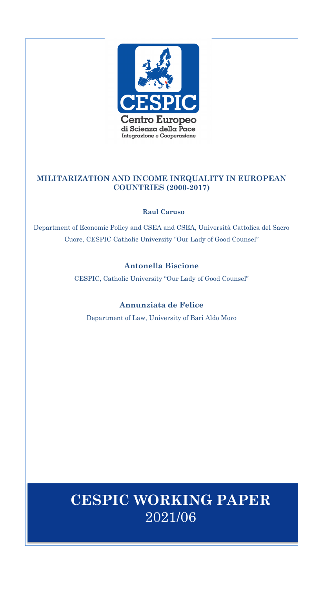

## **MILITARIZATION AND INCOME INEQUALITY IN EUROPEAN COUNTRIES (2000-2017)**

## **Raul Caruso**

Department of Economic Policy and CSEA and CSEA, Università Cattolica del Sacro Cuore, CESPIC Catholic University "Our Lady of Good Counsel"

## **Antonella Biscione**

CESPIC, Catholic University "Our Lady of Good Counsel"

## **Annunziata de Felice**

Department of Law, University of Bari Aldo Moro

# **CESPIC WORKING PAPER** 2021/06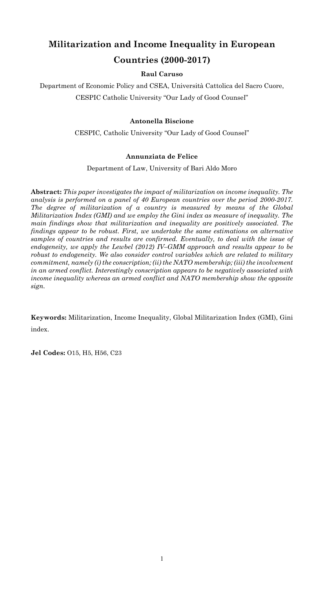## **Militarization and Income Inequality in European Countries (2000-2017)**

## **Raul Caruso**

Department of Economic Policy and CSEA, Università Cattolica del Sacro Cuore, CESPIC Catholic University "Our Lady of Good Counsel"

## **Antonella Biscione**

CESPIC*,* Catholic University "Our Lady of Good Counsel"

## **Annunziata de Felice**

Department of Law, University of Bari Aldo Moro

**Abstract:** *This paper investigates the impact of militarization on income inequality. The analysis is performed on a panel of 40 European countries over the period 2000-2017. The degree of militarization of a country is measured by means of the Global Militarization Index (GMI) and we employ the Gini index as measure of inequality. The main findings show that militarization and inequality are positively associated. The findings appear to be robust. First, we undertake the same estimations on alternative samples of countries and results are confirmed. Eventually, to deal with the issue of endogeneity, we apply the Lewbel (2012) IV–GMM approach and results appear to be robust to endogeneity. We also consider control variables which are related to military commitment, namely (i) the conscription; (ii) the NATO membership; (iii) the involvement in an armed conflict. Interestingly conscription appears to be negatively associated with income inequality whereas an armed conflict and NATO membership show the opposite sign.*

**Keywords:** Militarization, Income Inequality, Global Militarization Index (GMI), Gini index.

**Jel Codes:** O15, H5, H56, C23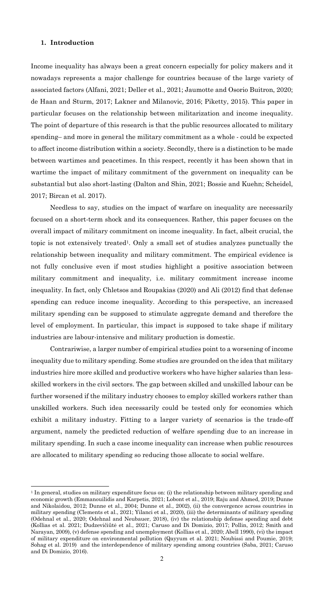#### **1. Introduction**

Income inequality has always been a great concern especially for policy makers and it nowadays represents a major challenge for countries because of the large variety of associated factors (Alfani, 2021; Deller et al., 2021; Jaumotte and Osorio Buitron, 2020; de Haan and Sturm, 2017; Lakner and Milanovic, 2016; Piketty, 2015). This paper in particular focuses on the relationship between militarization and income inequality. The point of departure of this research is that the public resources allocated to military spending– and more in general the military commitment as a whole - could be expected to affect income distribution within a society. Secondly, there is a distinction to be made between wartimes and peacetimes. In this respect, recently it has been shown that in wartime the impact of military commitment of the government on inequality can be substantial but also short-lasting (Dalton and Shin, 2021; Bossie and Kuehn; Scheidel, 2017; Bircan et al. 2017).

Needless to say, studies on the impact of warfare on inequality are necessarily focused on a short-term shock and its consequences. Rather, this paper focuses on the overall impact of military commitment on income inequality. In fact, albeit crucial, the topic is not extensively treated<sup>1</sup>. Only a small set of studies analyzes punctually the relationship between inequality and military commitment. The empirical evidence is not fully conclusive even if most studies highlight a positive association between military commitment and inequality, i.e. military commitment increase income inequality. In fact, only Chletsos and Roupakias (2020) and Ali (2012) find that defense spending can reduce income inequality. According to this perspective, an increased military spending can be supposed to stimulate aggregate demand and therefore the level of employment. In particular, this impact is supposed to take shape if military industries are labour-intensive and military production is domestic.

Contrariwise, a larger number of empirical studies point to a worsening of income inequality due to military spending. Some studies are grounded on the idea that military industries hire more skilled and productive workers who have higher salaries than lessskilled workers in the civil sectors. The gap between skilled and unskilled labour can be further worsened if the military industry chooses to employ skilled workers rather than unskilled workers. Such idea necessarily could be tested only for economies which exhibit a military industry. Fitting to a larger variety of scenarios is the trade-off argument, namely the predicted reduction of welfare spending due to an increase in military spending. In such a case income inequality can increase when public resources are allocated to military spending so reducing those allocate to social welfare.

<sup>1</sup> In general, studies on military expenditure focus on: (i) the relationship between military spending and economic growth (Emmanouilidis and Karpetis, 2021; Lobont et al., 2019; Raju and Ahmed, 2019; Dunne and Nikolaidou, 2012; Dunne et al., 2004; Dunne et al., 2002), (ii) the convergence across countries in military spending (Clements et al., 2021; Yilanci et al., 2020), (iii) the determinants of military spending (Odehnal et al., 2020; Odehnal and Neubauer, 2018), (iv) the relationship defense spending and debt (Kollias et al. 2021; Dudzevičiūtė et al., 2021; Caruso and Di Domizio, 2017; Pollin, 2012; Smith and Narayan, 2009), (v) defense spending and unemployment (Kollias et al., 2020; Abell 1990), (vi) the impact of military expenditure on environmental pollution (Qayyum et al. 2021; Noubissi and Poumie, 2019; Sohag et al. 2019) and the interdependence of military spending among countries (Saba, 2021; Caruso and Di Domizio, 2016).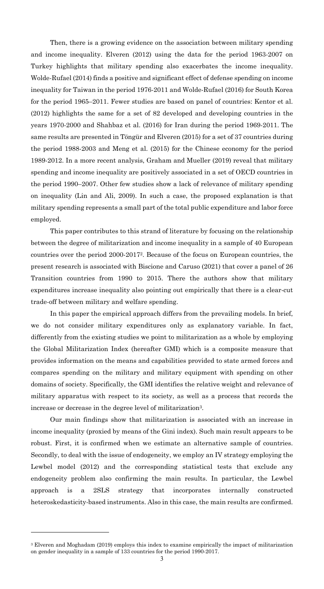Then, there is a growing evidence on the association between military spending and income inequality. Elveren (2012) using the data for the period 1963-2007 on Turkey highlights that military spending also exacerbates the income inequality. Wolde-Rufael (2014) finds a positive and significant effect of defense spending on income inequality for Taiwan in the period 1976-2011 and Wolde-Rufael (2016) for South Korea for the period 1965–2011. Fewer studies are based on panel of countries: Kentor et al. (2012) highlights the same for a set of 82 developed and developing countries in the years 1970-2000 and Shahbaz et al. (2016) for Iran during the period 1969-2011. The same results are presented in Töngür and Elveren (2015) for a set of 37 countries during the period 1988-2003 and Meng et al. (2015) for the Chinese economy for the period 1989-2012. In a more recent analysis, Graham and Mueller (2019) reveal that military spending and income inequality are positively associated in a set of OECD countries in the period 1990–2007. Other few studies show a lack of relevance of military spending on inequality (Lin and Ali, 2009). In such a case, the proposed explanation is that military spending represents a small part of the total public expenditure and labor force employed.

This paper contributes to this strand of literature by focusing on the relationship between the degree of militarization and income inequality in a sample of 40 European countries over the period 2000-20172. Because of the focus on European countries, the present research is associated with Biscione and Caruso (2021) that cover a panel of 26 Transition countries from 1990 to 2015. There the authors show that military expenditures increase inequality also pointing out empirically that there is a clear-cut trade-off between military and welfare spending.

In this paper the empirical approach differs from the prevailing models. In brief, we do not consider military expenditures only as explanatory variable. In fact, differently from the existing studies we point to militarization as a whole by employing the Global Militarization Index (hereafter GMI) which is a composite measure that provides information on the means and capabilities provided to state armed forces and compares spending on the military and military equipment with spending on other domains of society. Specifically, the GMI identifies the relative weight and relevance of military apparatus with respect to its society, as well as a process that records the increase or decrease in the degree level of militarization3.

Our main findings show that militarization is associated with an increase in income inequality (proxied by means of the Gini index). Such main result appears to be robust. First, it is confirmed when we estimate an alternative sample of countries. Secondly, to deal with the issue of endogeneity, we employ an IV strategy employing the Lewbel model (2012) and the corresponding statistical tests that exclude any endogeneity problem also confirming the main results. In particular, the Lewbel is a 2SLS strategy that incorporates internally constructed heteroskedasticity-based instruments. Also in this case, the main results are confirmed.

<sup>3</sup> Elveren and Moghadam (2019) employs this index to examine empirically the impact of militarization on gender inequality in a sample of 133 countries for the period 1990-2017.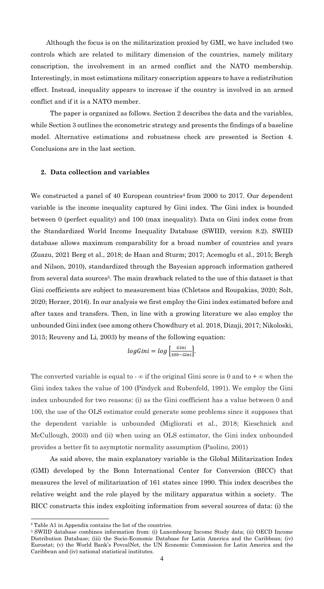Although the focus is on the militarization proxied by GMI, we have included two controls which are related to military dimension of the countries, namely military conscription, the involvement in an armed conflict and the NATO membership. Interestingly, in most estimations military conscription appears to have a redistribution effect. Instead, inequality appears to increase if the country is involved in an armed conflict and if it is a NATO member.

The paper is organized as follows. Section 2 describes the data and the variables, while Section 3 outlines the econometric strategy and presents the findings of a baseline model. Alternative estimations and robustness check are presented is Section 4. Conclusions are in the last section.

#### **2. Data collection and variables**

We constructed a panel of 40 European countries<sup>4</sup> from 2000 to 2017. Our dependent variable is the income inequality captured by Gini index. The Gini index is bounded between 0 (perfect equality) and 100 (max inequality). Data on Gini index come from the Standardized World Income Inequality Database (SWIID, version 8.2). SWIID database allows maximum comparability for a broad number of countries and years (Zuazu, 2021 Berg et al., 2018; de Haan and Sturm; 2017; Acemoglu et al., 2015; Bergh and Nilson, 2010), standardized through the Bayesian approach information gathered from several data sources<sup>5</sup>. The main drawback related to the use of this dataset is that Gini coefficients are subject to measurement bias (Chletsos and Roupakias, 2020; Solt, 2020; Herzer, 2016). In our analysis we first employ the Gini index estimated before and after taxes and transfers. Then, in line with a growing literature we also employ the unbounded Gini index (see among others Chowdhury et al. 2018, Dizaji, 2017; Nikoloski, 2015; Reuveny and Li, 2003) by means of the following equation:

$$
logGini = log\left[\frac{Gini}{100 - Gini}\right].
$$

The converted variable is equal to  $-\infty$  if the original Gini score is 0 and to  $+\infty$  when the Gini index takes the value of 100 (Pindyck and Rubenfeld, 1991). We employ the Gini index unbounded for two reasons: (i) as the Gini coefficient has a value between 0 and 100, the use of the OLS estimator could generate some problems since it supposes that the dependent variable is unbounded (Migliorati et al., 2018; Kieschnick and McCullough, 2003) and (ii) when using an OLS estimator, the Gini index unbounded provides a better fit to asymptotic normality assumption (Paolino, 2001)

As said above, the main explanatory variable is the Global Militarization Index (GMI) developed by the Bonn International Center for Conversion (BICC) that measures the level of militarization of 161 states since 1990. This index describes the relative weight and the role played by the military apparatus within a society. The BICC constructs this index exploiting information from several sources of data: (i) the

<sup>4</sup> Table A1 in Appendix contains the list of the countries.

<sup>5</sup> SWIID database combines information from: (i) Luxembourg Income Study data; (ii) OECD Income Distribution Database; (iii) the Socio-Economic Database for Latin America and the Caribbean; (iv) Eurostat; (v) the World Bank's PovcalNet, the UN Economic Commission for Latin America and the Caribbean and (iv) national statistical institutes.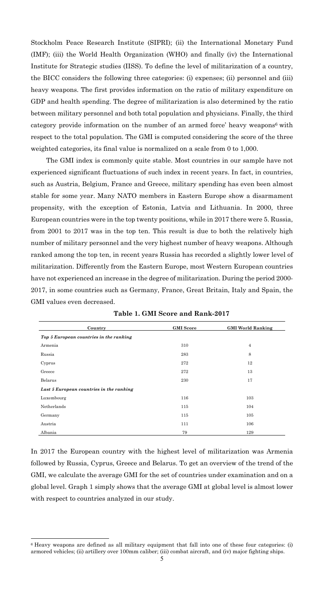Stockholm Peace Research Institute (SIPRI); (ii) the International Monetary Fund (IMF); (iii) the World Health Organization (WHO) and finally (iv) the International Institute for Strategic studies (IISS). To define the level of militarization of a country, the BICC considers the following three categories: (i) expenses; (ii) personnel and (iii) heavy weapons. The first provides information on the ratio of military expenditure on GDP and health spending. The degree of militarization is also determined by the ratio between military personnel and both total population and physicians. Finally, the third category provide information on the number of an armed force' heavy weapons<sup>6</sup> with respect to the total population. The GMI is computed considering the score of the three weighted categories, its final value is normalized on a scale from 0 to 1,000.

The GMI index is commonly quite stable. Most countries in our sample have not experienced significant fluctuations of such index in recent years. In fact, in countries, such as Austria, Belgium, France and Greece, military spending has even been almost stable for some year. Many NATO members in Eastern Europe show a disarmament propensity, with the exception of Estonia, Latvia and Lithuania. In 2000, three European countries were in the top twenty positions, while in 2017 there were 5. Russia, from 2001 to 2017 was in the top ten. This result is due to both the relatively high number of military personnel and the very highest number of heavy weapons. Although ranked among the top ten, in recent years Russia has recorded a slightly lower level of militarization. Differently from the Eastern Europe, most Western European countries have not experienced an increase in the degree of militarization. During the period 2000- 2017, in some countries such as Germany, France, Great Britain, Italy and Spain, the GMI values even decreased.

| Country                                  | <b>GMI</b> Score | <b>GMI World Ranking</b> |
|------------------------------------------|------------------|--------------------------|
| Top 5 European countries in the ranking  |                  |                          |
| Armenia                                  | 310              | $\overline{4}$           |
| Russia                                   | 283              | 8                        |
| Cyprus                                   | 272              | 12                       |
| Greece                                   | 272              | 13                       |
| Belarus                                  | 230              | 17                       |
| Last 5 European countries in the ranking |                  |                          |
| Luxembourg                               | 116              | 103                      |
| Netherlands                              | 115              | 104                      |
| Germany                                  | 115              | 105                      |
| Austria                                  | 111              | 106                      |
| Albania                                  | 79               | 129                      |

**Table 1. GMI Score and Rank-2017**

In 2017 the European country with the highest level of militarization was Armenia followed by Russia, Cyprus, Greece and Belarus. To get an overview of the trend of the GMI, we calculate the average GMI for the set of countries under examination and on a global level. Graph 1 simply shows that the average GMI at global level is almost lower with respect to countries analyzed in our study.

<sup>6</sup> Heavy weapons are defined as all military equipment that fall into one of these four categories: (i) armored vehicles; (ii) artillery over 100mm caliber; (iii) combat aircraft, and (iv) major fighting ships.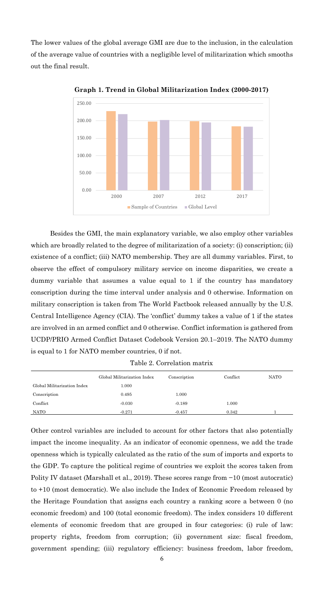The lower values of the global average GMI are due to the inclusion, in the calculation of the average value of countries with a negligible level of militarization which smooths out the final result.



**Graph 1. Trend in Global Militarization Index (2000-2017)**

Besides the GMI, the main explanatory variable, we also employ other variables which are broadly related to the degree of militarization of a society: (i) conscription; (ii) existence of a conflict; (iii) NATO membership. They are all dummy variables. First, to observe the effect of compulsory military service on income disparities, we create a dummy variable that assumes a value equal to 1 if the country has mandatory conscription during the time interval under analysis and 0 otherwise. Information on military conscription is taken from The World Factbook released annually by the U.S. Central Intelligence Agency (CIA). The 'conflict' dummy takes a value of 1 if the states are involved in an armed conflict and 0 otherwise. Conflict information is gathered from UCDP/PRIO Armed Conflict Dataset Codebook Version 20.1–2019. The NATO dummy is equal to 1 for NATO member countries, 0 if not.

Table 2. Correlation matrix

|                             | Global Militarization Index | Conscription | Conflict | <b>NATO</b> |
|-----------------------------|-----------------------------|--------------|----------|-------------|
| Global Militarization Index | 1.000                       |              |          |             |
| Conscription                | 0.495                       | 1.000        |          |             |
| Conflict                    | $-0.030$                    | $-0.189$     | 1.000    |             |
| NATO                        | $-0.271$                    | $-0.457$     | 0.342    |             |

Other control variables are included to account for other factors that also potentially impact the income inequality. As an indicator of economic openness, we add the trade openness which is typically calculated as the ratio of the sum of imports and exports to the GDP. To capture the political regime of countries we exploit the scores taken from Polity IV dataset (Marshall et al., 2019). These scores range from −10 (most autocratic) to +10 (most democratic). We also include the Index of Economic Freedom released by the Heritage Foundation that assigns each country a ranking score a between 0 (no economic freedom) and 100 (total economic freedom). The index considers 10 different elements of economic freedom that are grouped in four categories: (i) rule of law: property rights, freedom from corruption; (ii) government size: fiscal freedom, government spending; (iii) regulatory efficiency: business freedom, labor freedom,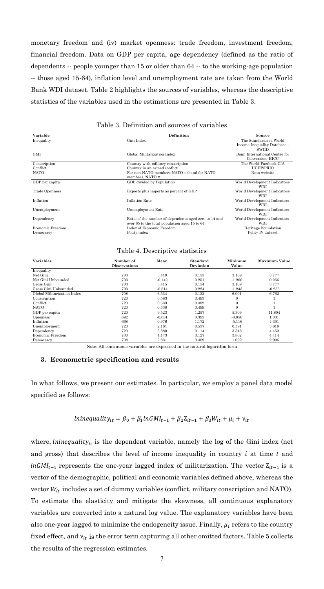monetary freedom and (iv) market openness: trade freedom, investment freedom, financial freedom. Data on GDP per capita, age dependency (defined as the ratio of dependents -- people younger than 15 or older than 64 -- to the working-age population -- those aged 15-64), inflation level and unemployment rate are taken from the World Bank WDI dataset. Table 2 highlights the sources of variables, whereas the descriptive statistics of the variables used in the estimations are presented in Table 3.

| Variable         | Definition                                            | Source                        |
|------------------|-------------------------------------------------------|-------------------------------|
| Inequality       | Gini Index                                            | The Standardized World        |
|                  |                                                       | Income Inequality Database -  |
|                  |                                                       | <b>SWIID</b>                  |
| <b>GMI</b>       | Global Militarization Index                           | Bonn International Center for |
|                  |                                                       | Conversion -BICC              |
| Conscription     | Country with military conscription                    | The World Factbook CIA        |
| Conflict         | Country in an armed conflict                          | UCDP/PRIO                     |
| <b>NATO</b>      | For non-NATO members NATO $= 0$ and for NATO          | Nato website                  |
|                  | members, $NATO = 1$                                   |                               |
| GDP per capita   | GDP divided by Population                             | World Development Indicators- |
|                  |                                                       | <b>WDI</b>                    |
| Trade Openness   | Exports plus imports as percent of GDP                | World Development Indicators- |
|                  |                                                       | <b>WDI</b>                    |
| Inflation        | <b>Inflation Rate</b>                                 | World Development Indicators- |
|                  |                                                       | <b>WDI</b>                    |
| Unemployment     | Unemployment Rate                                     | World Development Indicators- |
|                  |                                                       | <b>WDI</b>                    |
| Dependency       | Ratio of the number of dependents aged zero to 14 and | World Development Indicators- |
|                  | over 65 to the total population aged 15 to 64.        | WDI                           |
| Economic Freedom | Index of Economic Freedom                             | Heritage Foundation           |
| Democracy        | Polity index                                          | Polity IV dataset             |

Table 3. Definition and sources of variables

Table 4. Descriptive statistics

| <b>Variables</b>            | Number of<br><b>Observations</b> | Mean     | <b>Standard</b><br>Deviation | Minimum<br>Value | <b>Maximum Value</b> |
|-----------------------------|----------------------------------|----------|------------------------------|------------------|----------------------|
| Inequality                  |                                  |          |                              |                  |                      |
| Net Gini                    | 703                              | 3.419    | 0.153                        | 3.109            | 3.777                |
| Net Gini Unbounded          | 703                              | $-0.142$ | 0.251                        | $-1.260$         | 0.266                |
| Gross Gini                  | 703                              | 3.415    | 0.154                        | 3.109            | 3.777                |
| Gross Gini Unbounded        | 703                              | $-0.814$ | 0.224                        | $-1.243$         | $-0.253$             |
| Global Militarization Index | 708                              | 6.534    | 0.132                        | 6.001            | 6.762                |
| Conscription                | 720                              | 0.583    | 0.493                        | $\overline{0}$   |                      |
| Conflict                    | 720                              | 0.633    | 0.482                        | $\overline{0}$   |                      |
| <b>NATO</b>                 | 720                              | 0.538    | 0.499                        | $\Omega$         |                      |
| GDP per capita              | 720                              | 9.523    | 1.257                        | 5.309            | 11.804               |
| Openness                    | 692                              | $-0.081$ | 0.393                        | $-0.850$         | 1.331                |
| Inflation                   | 668                              | 0.976    | 1.172                        | $-5.116$         | 4.391                |
| Unemployment                | 720                              | 2.181    | 0.537                        | 0.591            | 3.618                |
| Dependency                  | 720                              | 3.880    | 0.114                        | 3.548            | 4.450                |
| Economic Freedom            | 700                              | 4.173    | 0.127                        | 3.802            | 4.414                |
| Democracy                   | 708                              | 2.831    | 0.409                        | 1.099            | 2.996                |

Note: All continuous variables are expressed in the natural logarithm form

#### **3. Econometric specification and results**

In what follows, we present our estimates. In particular, we employ a panel data model specified as follows:

$$
linequality_{it} = \beta_0 + \beta_1 lnGMI_{t-1} + \beta_2 Z_{it-1} + \beta_3 W_{it} + \mu_i + \nu_{it}
$$

where, *lninequality<sub>it</sub>* is the dependent variable, namely the log of the Gini index (net and gross) that describes the level of income inequality in country *i* at time *t* and  $ln GMI_{t-1}$  represents the one-year lagged index of militarization. The vector  $Z_{it-1}$  is a vector of the demographic, political and economic variables defined above, whereas the vector  $W_{it}$  includes a set of dummy variables (conflict, military conscription and NATO). To estimate the elasticity and mitigate the skewness, all continuous explanatory variables are converted into a natural log value. The explanatory variables have been also one-year lagged to minimize the endogeneity issue. Finally,  $\mu_i$  refers to the country fixed effect, and  $v_{it}$  is the error term capturing all other omitted factors. Table 5 collects the results of the regression estimates.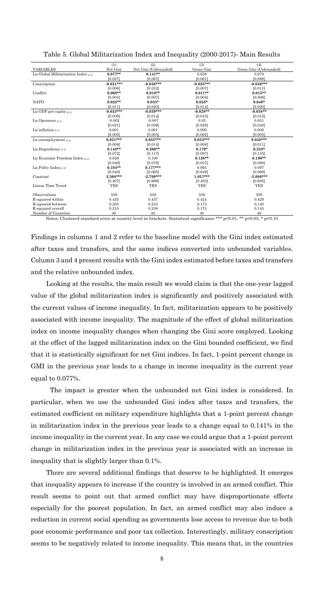|                                           | (1)         | (2)                  | (3)         | (4)                    |
|-------------------------------------------|-------------|----------------------|-------------|------------------------|
| <b>VARIABLES</b>                          | Net Gini    | Net Gini (Unbounded) | Gross Gini  | Gross Gini (Unbounded) |
| Ln Global Militarization Index $(a-1)$    | $0.077**$   | $0.141**$            | 0.058       | 0.078                  |
|                                           | [0.037]     | [0.067]              | [0.061]     | [0.088]                |
| Conscription                              | $-0.021***$ | $-0.036***$          | $-0.025***$ | $-0.036***$            |
|                                           | [0.006]     | [0.012]              | [0.007]     | [0.011]                |
| Conflict                                  | $0.008**$   | $0.016**$            | $0.011**$   | $0.015**$              |
|                                           | [0.004]     | [0.007]              | [0.004]     | [0.006]                |
| <b>NATO</b>                               | $0.022**$   | $0.035*$             | $0.028*$    | $0.040*$               |
|                                           | [0.011]     | [0.020]              | [0.014]     | [0.020]                |
| Ln GDP per capita $a_{-1}$                | $-0.023***$ | $-0.039***$          | $-0.028**$  | $-0.038**$             |
|                                           | [0.008]     | [0.014]              | [0.010]     | [0.015]                |
| Ln Openness $a_{t-1}$                     | $-0.002$    | $-0.007$             | 0.02        | 0.031                  |
|                                           | [0.021]     | [0.036]              | [0.028]     | [0.040]                |
| Ln inflation $a_{-1}$                     | 0.001       | 0.001                | 0.000       | 0.000                  |
|                                           | [0.002]     | [0.003]              | [0.002]     | [0.003]                |
| Ln unemployment $(a-1)$                   | $0.031***$  | $0.055***$           | $0.033***$  | $0.048***$             |
|                                           | [0.008]     | [0.014]              | [0.008]     | [0.011]                |
| Ln Dependency $a_{-1}$                    | $0.148**$   | $0.260**$            | $0.170*$    | $0.238*$               |
|                                           | [0.072]     | [0.117]              | [0.097]     | [0.135]                |
| Ln Economic Freedom Index $a_{\text{-}1}$ | 0.049       | 0.100                | $0.126**$   | $0.196**$              |
|                                           | [0.049]     | [0.076]              | [0.057]     | [0.080]                |
| Ln Polity Index $a_{-1}$                  | $0.104**$   | $0.177***$           | 0.065       | 0.097                  |
|                                           | [0.040]     | [0.065]              | [0.049]     | [0.069]                |
| Constant                                  | $2.368***$  | $-2.799***$          | $1.857***$  | $-3.080***$            |
|                                           | [0.407]     | [0.686]              | [0.483]     | [0.695]                |
| Linear Time Trend                         | <b>YES</b>  | <b>YES</b>           | <b>YES</b>  | <b>YES</b>             |
|                                           |             |                      |             |                        |
| Observations                              | 559         | 559                  | 559         | 559                    |
| R-squared within                          | 0.435       | 0.437                | 0.424       | 0.429                  |
| R-squared between                         | 0.205       | 0.234                | 0.173       | 0.140                  |
| R-squared overall                         | 0.210       | 0.238                | 0.175       | 0.145                  |
| Number of Countries                       | 40          | 40                   | 40          | 40                     |

Table 5. Global Militarization Index and Inequality (2000-2017)- Main Results

Notes: Clustered standard error at country level in brackets. Statistical significance \*\*\* p<0.01, \*\* p<0.05, \* p<0.10

Findings in columns 1 and 2 refer to the baseline model with the Gini index estimated after taxes and transfers, and the same indices converted into unbounded variables. Column 3 and 4 present results with the Gini index estimated before taxes and transfers and the relative unbounded index.

Looking at the results, the main result we would claim is that the one-year lagged value of the global militarization index is significantly and positively associated with the current values of income inequality. In fact, militarization appears to be positively associated with income inequality. The magnitude of the effect of global militarization index on income inequality changes when changing the Gini score employed. Looking at the effect of the lagged militarization index on the Gini bounded coefficient, we find that it is statistically significant for net Gini indices. In fact, 1-point percent change in GMI in the previous year leads to a change in income inequality in the current year equal to 0.077%.

The impact is greater when the unbounded net Gini index is considered. In particular, when we use the unbounded Gini index after taxes and transfers, the estimated coefficient on military expenditure highlights that a 1-point percent change in militarization index in the previous year leads to a change equal to 0.141% in the income inequality in the current year. In any case we could argue that a 1-point percent change in militarization index in the previous year is associated with an increase in inequality that is slightly larger than 0.1%.

There are several additional findings that deserve to be highlighted. It emerges that inequality appears to increase if the country is involved in an armed conflict. This result seems to point out that armed conflict may have disproportionate effects especially for the poorest population. In fact, an armed conflict may also induce a reduction in current social spending as governments lose access to revenue due to both poor economic performance and poor tax collection. Interestingly, military conscription seems to be negatively related to income inequality. This means that, in the countries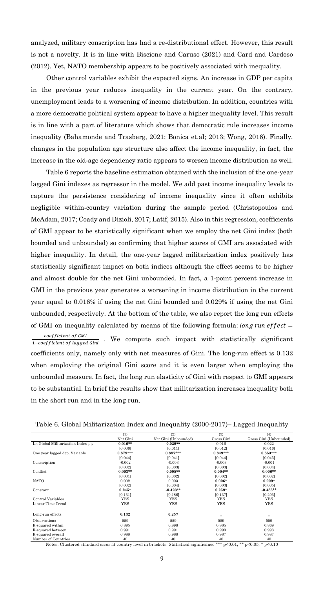analyzed, military conscription has had a re-distributional effect. However, this result is not a novelty. It is in line with Biscione and Caruso (2021) and Card and Cardoso (2012). Yet, NATO membership appears to be positively associated with inequality.

Other control variables exhibit the expected signs. An increase in GDP per capita in the previous year reduces inequality in the current year. On the contrary, unemployment leads to a worsening of income distribution. In addition, countries with a more democratic political system appear to have a higher inequality level. This result is in line with a part of literature which shows that democratic rule increases income inequality (Bahamonde and Trasberg, 2021; Bonica et.al; 2013; Wong, 2016). Finally, changes in the population age structure also affect the income inequality, in fact, the increase in the old-age dependency ratio appears to worsen income distribution as well.

Table 6 reports the baseline estimation obtained with the inclusion of the one-year lagged Gini indexes as regressor in the model. We add past income inequality levels to capture the persistence considering of income inequality since it often exhibits negligible within-country variation during the sample period (Christopoulos and McAdam, 2017; Coady and Dizioli, 2017; Latif, 2015). Also in this regression, coefficients of GMI appear to be statistically significant when we employ the net Gini index (both bounded and unbounded) so confirming that higher scores of GMI are associated with higher inequality. In detail, the one-year lagged militarization index positively has statistically significant impact on both indices although the effect seems to be higher and almost double for the net Gini unbounded. In fact, a 1-point percent increase in GMI in the previous year generates a worsening in income distribution in the current year equal to 0.016% if using the net Gini bounded and 0.029% if using the net Gini unbounded, respectively. At the bottom of the table, we also report the long run effects of GMI on inequality calculated by means of the following formula: *long run effect*  $=$  $coefficient of GMI$  $\frac{(\log f)(\log \log \log \log n)}{1-\text{coefficient of lagged Gini}}$ . We compute such impact with statistically significant coefficients only, namely only with net measures of Gini. The long-run effect is 0.132 when employing the original Gini score and it is even larger when employing the unbounded measure. In fact, the long run elasticity of Gini with respect to GMI appears to be substantial. In brief the results show that militarization increases inequality both in the short run and in the long run.

| Table 6. Global Militarization Index and Inequality (2000-2017)– Lagged Inequality |  |  |  |  |  |  |  |  |  |
|------------------------------------------------------------------------------------|--|--|--|--|--|--|--|--|--|
|------------------------------------------------------------------------------------|--|--|--|--|--|--|--|--|--|

|                                        | (1)        | (2)                  | (3)        | (4)                    |
|----------------------------------------|------------|----------------------|------------|------------------------|
|                                        | Net Gini   | Net Gini (Unbounded) | Gross Gini | Gross Gini (Unbounded) |
| Ln Global Militarization Index $(t-1)$ | $0.016**$  | $0.029**$            | 0.016      | 0.022                  |
|                                        | [0.006]    | [0.011]              | [0.012]    | [0.016]                |
| One year lagged dep. Variable          | $0.879***$ | $0.887***$           | $0.849***$ | $0.853***$             |
|                                        | [0.044]    | [0.041]              | [0.044]    | [0.045]                |
| Conscription                           | $-0.002$   | $-0.003$             | $-0.003$   | $-0.004$               |
|                                        | [0.002]    | [0.003]              | [0.003]    | [0.004]                |
| Conflict                               | $0.003**$  | $0.005**$            | $0.004**$  | $0.006**$              |
|                                        | [0.001]    | [0.002]              | [0.002]    | [0.002]                |
| <b>NATO</b>                            | 0.002      | 0.003                | $0.006*$   | $0.009*$               |
|                                        | [0.002]    | [0.004]              | [0.003]    | [0.005]                |
| Constant                               | $0.245*$   | $-0.423**$           | $0.259*$   | $-0.485**$             |
|                                        | [0.131]    | [0.186]              | [0.137]    | [0.203]                |
| Control Variables                      | <b>YES</b> | YES                  | YES        | YES                    |
| Linear Time Trend                      | YES        | YES                  | YES        | YES                    |
| Long-run effects                       | 0.132      | 0.257                |            |                        |
|                                        |            |                      |            |                        |
| Observations                           | 559        | 559                  | 559        | 559                    |
| R-squared within                       | 0.895      | 0.898                | 0.865      | 0.869                  |
| R-squared between                      | 0.991      | 0.991                | 0.993      | 0.993                  |
| R-squared overall                      | 0.988      | 0.988                | 0.987      | 0.987                  |
| Number of Countries                    | 40         | 40                   | 40         | 40                     |

Notes: Clustered standard error at country level in brackets. Statistical significance \*\*\* p<0.01, \*\* p<0.05, \* p<0.10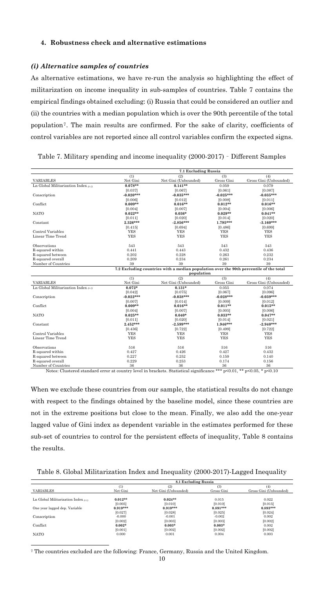#### **4. Robustness check and alternative estimations**

#### *(i) Alternative samples of countries*

As alternative estimations, we have re-run the analysis so highlighting the effect of militarization on income inequality in sub-samples of countries. Table 7 contains the empirical findings obtained excluding: (i) Russia that could be considered an outlier and (ii) the countries with a median population which is over the 90th percentile of the total population7. The main results are confirmed. For the sake of clarity, coefficients of control variables are not reported since all control variables confirm the expected signs.

| (2)<br>(3)<br>(1)<br>(4)<br>Net Gini<br>Gross Gini (Unbounded)<br><b>VARIABLES</b><br>Net Gini (Unbounded)<br>Gross Gini<br>$0.078**$<br>$0.141**$<br>0.079<br>Ln Global Militarization Index $_{(t-1)}$<br>0.059<br>[0.037]<br>[0.067]<br>[0.061]<br>[0.087]<br>$-0.020***$<br>$-0.025***$<br>$-0.035***$<br>Conscription<br>$-0.035***$<br>[0.006]<br>[0.012]<br>[0.008]<br>[0.011]<br>Conflict<br>$0.009**$<br>$0.016**$<br>$0.012**$<br>$0.016**$<br>[0.004]<br>[0.007]<br>[0.004]<br>[0.006]<br><b>NATO</b><br>$0.022**$<br>$0.036*$<br>$0.029**$<br>$0.041**$<br>[0.011]<br>[0.020]<br>[0.014]<br>[0.020]<br>$2.326***$<br>$-2.856***$<br>$-3.160***$<br>Constant<br>$1.795***$<br>[0.415]<br>[0.694]<br>[0.486]<br>[0.699]<br><b>YES</b><br>Control Variables<br><b>YES</b><br><b>YES</b><br><b>YES</b><br>Linear Time Trend<br><b>YES</b><br><b>YES</b><br><b>YES</b><br><b>YES</b><br>Observations<br>543<br>543<br>543<br>543<br>0.432<br>R-squared within<br>0.441<br>0.443<br>0.436<br>0.202<br>0.228<br>0.263<br>0.232<br>R-squared between<br>0.209<br>0.234<br>0.234<br>R-squared overall<br>0.261<br>39<br>39<br>39<br>39<br>Number of Countries<br>7.2 Excluding countries with a median population over the 90th percentile of the total<br>population<br>(1)<br>(2)<br>(3)<br>(4) |                  | 7.1 Excluding Russia |                      |            |                        |  |
|------------------------------------------------------------------------------------------------------------------------------------------------------------------------------------------------------------------------------------------------------------------------------------------------------------------------------------------------------------------------------------------------------------------------------------------------------------------------------------------------------------------------------------------------------------------------------------------------------------------------------------------------------------------------------------------------------------------------------------------------------------------------------------------------------------------------------------------------------------------------------------------------------------------------------------------------------------------------------------------------------------------------------------------------------------------------------------------------------------------------------------------------------------------------------------------------------------------------------------------------------------------------------------------------------|------------------|----------------------|----------------------|------------|------------------------|--|
|                                                                                                                                                                                                                                                                                                                                                                                                                                                                                                                                                                                                                                                                                                                                                                                                                                                                                                                                                                                                                                                                                                                                                                                                                                                                                                      |                  |                      |                      |            |                        |  |
|                                                                                                                                                                                                                                                                                                                                                                                                                                                                                                                                                                                                                                                                                                                                                                                                                                                                                                                                                                                                                                                                                                                                                                                                                                                                                                      |                  |                      |                      |            |                        |  |
|                                                                                                                                                                                                                                                                                                                                                                                                                                                                                                                                                                                                                                                                                                                                                                                                                                                                                                                                                                                                                                                                                                                                                                                                                                                                                                      |                  |                      |                      |            |                        |  |
|                                                                                                                                                                                                                                                                                                                                                                                                                                                                                                                                                                                                                                                                                                                                                                                                                                                                                                                                                                                                                                                                                                                                                                                                                                                                                                      |                  |                      |                      |            |                        |  |
|                                                                                                                                                                                                                                                                                                                                                                                                                                                                                                                                                                                                                                                                                                                                                                                                                                                                                                                                                                                                                                                                                                                                                                                                                                                                                                      |                  |                      |                      |            |                        |  |
|                                                                                                                                                                                                                                                                                                                                                                                                                                                                                                                                                                                                                                                                                                                                                                                                                                                                                                                                                                                                                                                                                                                                                                                                                                                                                                      |                  |                      |                      |            |                        |  |
|                                                                                                                                                                                                                                                                                                                                                                                                                                                                                                                                                                                                                                                                                                                                                                                                                                                                                                                                                                                                                                                                                                                                                                                                                                                                                                      |                  |                      |                      |            |                        |  |
|                                                                                                                                                                                                                                                                                                                                                                                                                                                                                                                                                                                                                                                                                                                                                                                                                                                                                                                                                                                                                                                                                                                                                                                                                                                                                                      |                  |                      |                      |            |                        |  |
|                                                                                                                                                                                                                                                                                                                                                                                                                                                                                                                                                                                                                                                                                                                                                                                                                                                                                                                                                                                                                                                                                                                                                                                                                                                                                                      |                  |                      |                      |            |                        |  |
|                                                                                                                                                                                                                                                                                                                                                                                                                                                                                                                                                                                                                                                                                                                                                                                                                                                                                                                                                                                                                                                                                                                                                                                                                                                                                                      |                  |                      |                      |            |                        |  |
|                                                                                                                                                                                                                                                                                                                                                                                                                                                                                                                                                                                                                                                                                                                                                                                                                                                                                                                                                                                                                                                                                                                                                                                                                                                                                                      |                  |                      |                      |            |                        |  |
|                                                                                                                                                                                                                                                                                                                                                                                                                                                                                                                                                                                                                                                                                                                                                                                                                                                                                                                                                                                                                                                                                                                                                                                                                                                                                                      |                  |                      |                      |            |                        |  |
|                                                                                                                                                                                                                                                                                                                                                                                                                                                                                                                                                                                                                                                                                                                                                                                                                                                                                                                                                                                                                                                                                                                                                                                                                                                                                                      |                  |                      |                      |            |                        |  |
|                                                                                                                                                                                                                                                                                                                                                                                                                                                                                                                                                                                                                                                                                                                                                                                                                                                                                                                                                                                                                                                                                                                                                                                                                                                                                                      |                  |                      |                      |            |                        |  |
|                                                                                                                                                                                                                                                                                                                                                                                                                                                                                                                                                                                                                                                                                                                                                                                                                                                                                                                                                                                                                                                                                                                                                                                                                                                                                                      |                  |                      |                      |            |                        |  |
|                                                                                                                                                                                                                                                                                                                                                                                                                                                                                                                                                                                                                                                                                                                                                                                                                                                                                                                                                                                                                                                                                                                                                                                                                                                                                                      |                  |                      |                      |            |                        |  |
|                                                                                                                                                                                                                                                                                                                                                                                                                                                                                                                                                                                                                                                                                                                                                                                                                                                                                                                                                                                                                                                                                                                                                                                                                                                                                                      |                  |                      |                      |            |                        |  |
|                                                                                                                                                                                                                                                                                                                                                                                                                                                                                                                                                                                                                                                                                                                                                                                                                                                                                                                                                                                                                                                                                                                                                                                                                                                                                                      |                  |                      |                      |            |                        |  |
|                                                                                                                                                                                                                                                                                                                                                                                                                                                                                                                                                                                                                                                                                                                                                                                                                                                                                                                                                                                                                                                                                                                                                                                                                                                                                                      |                  |                      |                      |            |                        |  |
|                                                                                                                                                                                                                                                                                                                                                                                                                                                                                                                                                                                                                                                                                                                                                                                                                                                                                                                                                                                                                                                                                                                                                                                                                                                                                                      |                  |                      |                      |            |                        |  |
|                                                                                                                                                                                                                                                                                                                                                                                                                                                                                                                                                                                                                                                                                                                                                                                                                                                                                                                                                                                                                                                                                                                                                                                                                                                                                                      |                  |                      |                      |            |                        |  |
|                                                                                                                                                                                                                                                                                                                                                                                                                                                                                                                                                                                                                                                                                                                                                                                                                                                                                                                                                                                                                                                                                                                                                                                                                                                                                                      |                  |                      |                      |            |                        |  |
|                                                                                                                                                                                                                                                                                                                                                                                                                                                                                                                                                                                                                                                                                                                                                                                                                                                                                                                                                                                                                                                                                                                                                                                                                                                                                                      |                  |                      |                      |            |                        |  |
|                                                                                                                                                                                                                                                                                                                                                                                                                                                                                                                                                                                                                                                                                                                                                                                                                                                                                                                                                                                                                                                                                                                                                                                                                                                                                                      | <b>VARIABLES</b> | Net Gini             | Net Gini (Unbounded) | Gross Gini | Gross Gini (Unbounded) |  |
| Ln Global Militarization Index $(t-1)$<br>$0.072*$<br>$0.131*$<br>0.055<br>0.074                                                                                                                                                                                                                                                                                                                                                                                                                                                                                                                                                                                                                                                                                                                                                                                                                                                                                                                                                                                                                                                                                                                                                                                                                     |                  |                      |                      |            |                        |  |
| [0.096]<br>[0.042]<br>[0.075]<br>[0.067]                                                                                                                                                                                                                                                                                                                                                                                                                                                                                                                                                                                                                                                                                                                                                                                                                                                                                                                                                                                                                                                                                                                                                                                                                                                             |                  |                      |                      |            |                        |  |
| $-0.022***$<br>$-0.038***$<br>$-0.039***$<br>$-0.028***$<br>Conscription                                                                                                                                                                                                                                                                                                                                                                                                                                                                                                                                                                                                                                                                                                                                                                                                                                                                                                                                                                                                                                                                                                                                                                                                                             |                  |                      |                      |            |                        |  |
| [0.007]<br>[0.014]<br>[0.012]<br>[0.009]                                                                                                                                                                                                                                                                                                                                                                                                                                                                                                                                                                                                                                                                                                                                                                                                                                                                                                                                                                                                                                                                                                                                                                                                                                                             |                  |                      |                      |            |                        |  |
| Conflict<br>$0.009**$<br>$0.016**$<br>$0.011**$<br>$0.015**$                                                                                                                                                                                                                                                                                                                                                                                                                                                                                                                                                                                                                                                                                                                                                                                                                                                                                                                                                                                                                                                                                                                                                                                                                                         |                  |                      |                      |            |                        |  |
| [0.004]<br>[0.007]<br>[0.005]<br>[0.006]                                                                                                                                                                                                                                                                                                                                                                                                                                                                                                                                                                                                                                                                                                                                                                                                                                                                                                                                                                                                                                                                                                                                                                                                                                                             |                  |                      |                      |            |                        |  |
| <b>NATO</b><br>$0.025**$<br>$0.040*$<br>$0.033**$<br>$0.047**$                                                                                                                                                                                                                                                                                                                                                                                                                                                                                                                                                                                                                                                                                                                                                                                                                                                                                                                                                                                                                                                                                                                                                                                                                                       |                  |                      |                      |            |                        |  |
| [0.020]<br>[0.014]<br>[0.011]<br>[0.021]                                                                                                                                                                                                                                                                                                                                                                                                                                                                                                                                                                                                                                                                                                                                                                                                                                                                                                                                                                                                                                                                                                                                                                                                                                                             |                  |                      |                      |            |                        |  |
| $2.452***$<br>$-2.599***$<br>$-2.940***$<br>$1.946***$<br>Constant                                                                                                                                                                                                                                                                                                                                                                                                                                                                                                                                                                                                                                                                                                                                                                                                                                                                                                                                                                                                                                                                                                                                                                                                                                   |                  |                      |                      |            |                        |  |
| [0.436]<br>[0.722]<br>[0.499]<br>[0.722]                                                                                                                                                                                                                                                                                                                                                                                                                                                                                                                                                                                                                                                                                                                                                                                                                                                                                                                                                                                                                                                                                                                                                                                                                                                             |                  |                      |                      |            |                        |  |
| Control Variables<br><b>YES</b><br><b>YES</b><br><b>YES</b><br><b>YES</b>                                                                                                                                                                                                                                                                                                                                                                                                                                                                                                                                                                                                                                                                                                                                                                                                                                                                                                                                                                                                                                                                                                                                                                                                                            |                  |                      |                      |            |                        |  |
| <b>YES</b><br>Linear Time Trend<br><b>YES</b><br><b>YES</b><br><b>YES</b>                                                                                                                                                                                                                                                                                                                                                                                                                                                                                                                                                                                                                                                                                                                                                                                                                                                                                                                                                                                                                                                                                                                                                                                                                            |                  |                      |                      |            |                        |  |
| Observations<br>516<br>516<br>516<br>516                                                                                                                                                                                                                                                                                                                                                                                                                                                                                                                                                                                                                                                                                                                                                                                                                                                                                                                                                                                                                                                                                                                                                                                                                                                             |                  |                      |                      |            |                        |  |
| R-squared within<br>0.427<br>0.426<br>0.427<br>0.432                                                                                                                                                                                                                                                                                                                                                                                                                                                                                                                                                                                                                                                                                                                                                                                                                                                                                                                                                                                                                                                                                                                                                                                                                                                 |                  |                      |                      |            |                        |  |
| 0.227<br>R-squared between<br>0.252<br>0.159<br>0.140                                                                                                                                                                                                                                                                                                                                                                                                                                                                                                                                                                                                                                                                                                                                                                                                                                                                                                                                                                                                                                                                                                                                                                                                                                                |                  |                      |                      |            |                        |  |
| 0.229<br>R-squared overall<br>0.253<br>0.174<br>0.156                                                                                                                                                                                                                                                                                                                                                                                                                                                                                                                                                                                                                                                                                                                                                                                                                                                                                                                                                                                                                                                                                                                                                                                                                                                |                  |                      |                      |            |                        |  |
| Number of Countries<br>36<br>36<br>36<br>36                                                                                                                                                                                                                                                                                                                                                                                                                                                                                                                                                                                                                                                                                                                                                                                                                                                                                                                                                                                                                                                                                                                                                                                                                                                          |                  |                      |                      |            |                        |  |

| Table 7. Military spending and income inequality (2000-2017) - Different Samples |  |  |  |
|----------------------------------------------------------------------------------|--|--|--|
|                                                                                  |  |  |  |

Notes: Clustered standard error at country level in brackets. Statistical significance \*\*\* p<0.01, \*\* p<0.05, \* p<0.10

When we exclude these countries from our sample, the statistical results do not change with respect to the findings obtained by the baseline model, since these countries are not in the extreme positions but close to the mean. Finally, we also add the one-year lagged value of Gini index as dependent variable in the estimates performed for these sub-set of countries to control for the persistent effects of inequality, Table 8 contains the results.

| Table 8. Global Militarization Index and Inequality (2000-2017)-Lagged Inequality |  |  |  |
|-----------------------------------------------------------------------------------|--|--|--|
|-----------------------------------------------------------------------------------|--|--|--|

|                                           | 8.1 Excluding Russia |                      |            |                        |  |
|-------------------------------------------|----------------------|----------------------|------------|------------------------|--|
|                                           | $\left(1\right)$     | (2)                  | (3)        | (4)                    |  |
| <b>VARIABLES</b>                          | Net Gini             | Net Gini (Unbounded) | Gross Gini | Gross Gini (Unbounded) |  |
|                                           |                      |                      |            |                        |  |
| Ln Global Militarization Index $_{(t,l)}$ | $0.012**$            | $0.024**$            | 0.015      | 0.022                  |  |
|                                           | [0.005]              | [0.010]              | [0.010]    | [0.015]                |  |
| One year lagged dep. Variable             | $0.919***$           | $0.919***$           | $0.891***$ | $0.893***$             |  |
|                                           | [0.027]              | [0.028]              | [0.025]    | [0.024]                |  |
| Conscription                              | $-0.000$             | $-0.001$             | $-0.002$   | 0.002                  |  |
|                                           | [0.002]              | [0.003]              | [0.003]    | [0.002]                |  |
| Conflict                                  | $0.002*$             | $0.003*$             | $0.003*$   | 0.002                  |  |
|                                           | [0.001]              | [0.002]              | [0.002]    | [0.002]                |  |
| <b>NATO</b>                               | 0.000                | 0.001                | 0.004      | 0.003                  |  |

<sup>7</sup> The countries excluded are the following: France, Germany, Russia and the United Kingdom.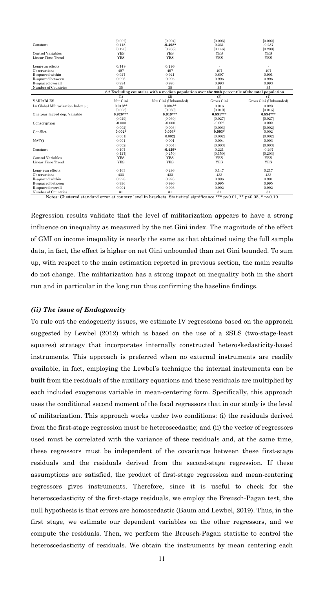| Constant                                                                                          | [0.002]<br>0.118 | [0.004]<br>$-0.408*$ | [0.003]<br>0.231 | [0.002]<br>$-0.287$    |  |  |
|---------------------------------------------------------------------------------------------------|------------------|----------------------|------------------|------------------------|--|--|
|                                                                                                   | [0.120]          | [0.236]              | [0.146]          | [0.200]                |  |  |
| Control Variables                                                                                 | <b>YES</b>       | <b>YES</b>           | <b>YES</b>       | <b>YES</b>             |  |  |
| Linear Time Trend                                                                                 | <b>YES</b>       | <b>YES</b>           | <b>YES</b>       | <b>YES</b>             |  |  |
| Long-run effects                                                                                  | 0.148            | 0.296                |                  |                        |  |  |
| Observations                                                                                      | 497              | 497                  | 497              | 497                    |  |  |
| R-squared within                                                                                  | 0.927            | 0.921                | 0.897            | 0.901                  |  |  |
| R-squared between                                                                                 | 0.996            | 0.995                | 0.996            | 0.996                  |  |  |
| R-squared overall                                                                                 | 0.994            | 0.993                | 0.993            | 0.993                  |  |  |
| Number of Countries                                                                               | 35               | 35                   | 35               | 35                     |  |  |
| 8.2 Excluding countries with a median population over the 90th percentile of the total population |                  |                      |                  |                        |  |  |
|                                                                                                   | (1)              | (2)                  | (3)              | (4)                    |  |  |
| <b>VARIABLES</b>                                                                                  | Net Gini         | Net Gini (Unbounded) | Gross Gini       | Gross Gini (Unbounded) |  |  |
| Ln Global Militarization Index $a_1$                                                              | $0.013**$        | $0.024**$            | 0.016            | 0.023                  |  |  |
|                                                                                                   | [0.005]          | [0.030]              | [0.010]          | [0.015]                |  |  |
| One year lagged dep. Variable                                                                     | $0.920***$       | $0.919***$           | $0.891***$       | $0.894***$             |  |  |
|                                                                                                   | [0.029]          | [0.030]              | [0.027]          | [0.027]                |  |  |
| Conscription                                                                                      | $-0.000$         | $-0.000$             | $-0.002$         | 0.002                  |  |  |
|                                                                                                   | [0.002]          | [0.003]              | [0.003]          | [0.002]                |  |  |
| Conflict                                                                                          | $0.002*$         | $0.003*$             | $0.003*$         | 0.002                  |  |  |
|                                                                                                   | [0.001]          | 0.002]               | [0.002]          | [0.002]                |  |  |
| <b>NATO</b>                                                                                       | 0.001            | 0.001                | 0.004            | 0.003                  |  |  |
|                                                                                                   | [0.002]          | [0.004]              | [0.003]          | [0.003]                |  |  |
| Constant                                                                                          | 0.107            | $-0.429*$            | 0.221            | $-0.297$               |  |  |
|                                                                                                   | [0.127]          | [0.250]              | [0.150]          | [0.203]                |  |  |
| Control Variables                                                                                 | <b>YES</b>       | <b>YES</b>           | <b>YES</b>       | <b>YES</b>             |  |  |
| Linear Time Trend                                                                                 | <b>YES</b>       | <b>YES</b>           | <b>YES</b>       | <b>YES</b>             |  |  |
|                                                                                                   |                  |                      |                  |                        |  |  |
| Long-run effects                                                                                  | 0.163            | 0.296                | 0.147            | 0.217                  |  |  |
| Observations                                                                                      | 433              | 433                  | 433              | 433                    |  |  |
| R-squared within                                                                                  | 0.928            | 0.923                | 0.896            | 0.901                  |  |  |
| R-squared between                                                                                 | 0.996            | 0.996                | 0.995            | 0.995                  |  |  |
| R-squared overall                                                                                 | 0.994            | 0.993                | 0.992            | 0.992                  |  |  |
| Number of Countries                                                                               | 31               | 31                   | 31               | 31                     |  |  |

Notes: Clustered standard error at country level in brackets. Statistical significance \*\*\* p<0.01, \*\* p<0.05, \* p<0.10

Regression results validate that the level of militarization appears to have a strong influence on inequality as measured by the net Gini index. The magnitude of the effect of GMI on income inequality is nearly the same as that obtained using the full sample data, in fact, the effect is higher on net Gini unbounded than net Gini bounded. To sum up, with respect to the main estimation reported in previous section, the main results do not change. The militarization has a strong impact on inequality both in the short run and in particular in the long run thus confirming the baseline findings.

#### *(ii) The issue of Endogeneity*

To rule out the endogeneity issues, we estimate IV regressions based on the approach suggested by Lewbel (2012) which is based on the use of a 2SLS (two-stage-least squares) strategy that incorporates internally constructed heteroskedasticity-based instruments. This approach is preferred when no external instruments are readily available, in fact, employing the Lewbel's technique the internal instruments can be built from the residuals of the auxiliary equations and these residuals are multiplied by each included exogenous variable in mean-centering form. Specifically, this approach uses the conditional second moment of the focal regressors that in our study is the level of militarization. This approach works under two conditions: (i) the residuals derived from the first-stage regression must be heteroscedastic; and (ii) the vector of regressors used must be correlated with the variance of these residuals and, at the same time, these regressors must be independent of the covariance between these first-stage residuals and the residuals derived from the second-stage regression. If these assumptions are satisfied, the product of first-stage regression and mean-centering regressors gives instruments. Therefore, since it is useful to check for the heteroscedasticity of the first-stage residuals, we employ the Breusch-Pagan test, the null hypothesis is that errors are homoscedastic (Baum and Lewbel, 2019). Thus, in the first stage, we estimate our dependent variables on the other regressors, and we compute the residuals. Then, we perform the Breusch-Pagan statistic to control the heteroscedasticity of residuals. We obtain the instruments by mean centering each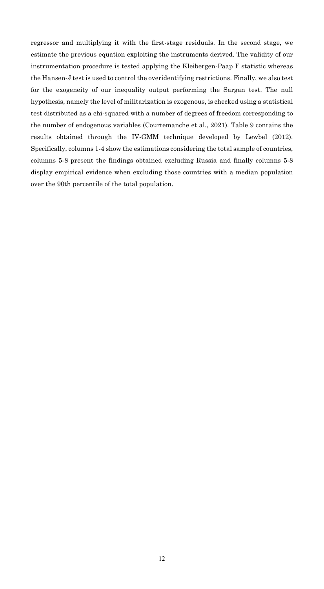regressor and multiplying it with the first-stage residuals. In the second stage, we estimate the previous equation exploiting the instruments derived. The validity of our instrumentation procedure is tested applying the Kleibergen-Paap F statistic whereas the Hansen-J test is used to control the overidentifying restrictions. Finally, we also test for the exogeneity of our inequality output performing the Sargan test. The null hypothesis, namely the level of militarization is exogenous, is checked using a statistical test distributed as a chi-squared with a number of degrees of freedom corresponding to the number of endogenous variables (Courtemanche et al., 2021). Table 9 contains the results obtained through the IV-GMM technique developed by Lewbel (2012). Specifically, columns 1-4 show the estimations considering the total sample of countries, columns 5-8 present the findings obtained excluding Russia and finally columns 5-8 display empirical evidence when excluding those countries with a median population over the 90th percentile of the total population.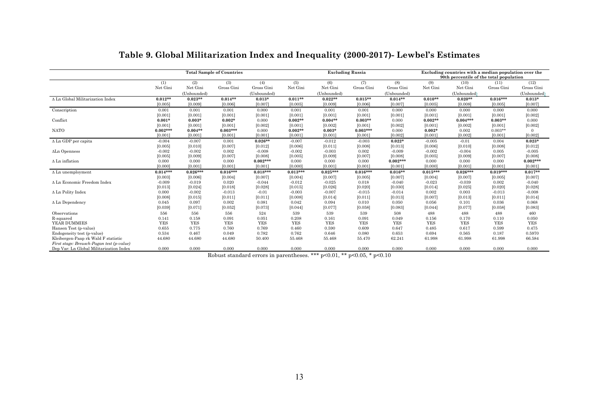|                                           | <b>Total Sample of Countries</b> |             |            |             |            | <b>Excluding Russia</b> |            |             |            | Excluding countries with a median population over the<br>90th percentile of the total population |            |             |  |
|-------------------------------------------|----------------------------------|-------------|------------|-------------|------------|-------------------------|------------|-------------|------------|--------------------------------------------------------------------------------------------------|------------|-------------|--|
|                                           | (1)                              | (2)         | (3)        | (4)         | (5)        | (6)                     | (7)        | (8)         | (9)        | (10)                                                                                             | (11)       | (12)        |  |
|                                           | Net Gini                         | Net Gini    | Gross Gini | Gross Gini  | Net Gini   | Net Gini                | Gross Gini | Gross Gini  | Net Gini   | Net Gini                                                                                         | Gross Gini | Gross Gini  |  |
|                                           |                                  | (Unbounded) |            | (Unbounded) |            | (Unbounded)             |            | (Unbounded) |            | (Unbounded)                                                                                      |            | (Unbounded) |  |
| A Ln Global Militarization Index          | $0.012**$                        | $0.023**$   | $0.014**$  | $0.013*$    | $0.011**$  | $0.022**$               | $0.015**$  | $0.014**$   | $0.010**$  | $0.020**$                                                                                        | $0.016***$ | $0.013*$    |  |
|                                           | [0.005]                          | [0.009]     | [0.006]    | [0.007]     | [0.005]    | [0.009]                 | [0.006]    | [0.007]     | [0.005]    | [0.008]                                                                                          | [0.005]    | [0.007]     |  |
| Conscription                              | 0.001                            | 0.001       | 0.001      | 0.000       | 0.001      | 0.001                   | 0.001      | 0.000       | 0.000      | 0.000                                                                                            | 0.000      | 0.000       |  |
|                                           | [0.001]                          | [0.001]     | [0.001]    | [0.001]     | [0.001]    | [0.001]                 | [0.001]    | [0.001]     | [0.001]    | [0.001]                                                                                          | [0.001]    | [0.002]     |  |
| Conflict                                  | $0.001*$                         | $0.003*$    | $0.002*$   | 0.000       | $0.002**$  | $0.004**$               | $0.003**$  | 0.000       | $0.002**$  | $0.004***$                                                                                       | $0.003**$  | 0.000       |  |
|                                           | [0.001]                          | [0.001]     | [0.001]    | [0.002]     | [0.001]    | [0.002]                 | [0.001]    | [0.002]     | [0.001]    | [0.002]                                                                                          | [0.001]    | [0.002]     |  |
| <b>NATO</b>                               | $0.002***$                       | $0.004**$   | $0.003***$ | 0.000       | $0.002**$  | $0.003*$                | $0.003***$ | 0.000       | $0.002*$   | 0.002                                                                                            | $0.003**$  |             |  |
|                                           | [0.001]                          | [0.001]     | [0.001]    | [0.001]     | [0.001]    | [0.001]                 | [0.001]    | [0.002]     | [0.001]    | [0.002]                                                                                          | [0.001]    | [0.002]     |  |
| $\Delta$ Ln GDP per capita                | $-0.004$                         | $-0.007$    | 0.001      | $0.026**$   | $-0.007$   | $-0.012$                | $-0.003$   | $0.022*$    | $-0.005$   | $-0.01$                                                                                          | 0.004      | $0.023*$    |  |
|                                           | [0.005]                          | [0.010]     | [0.007]    | [0.012]     | [0.006]    | [0.011]                 | [0.008]    | [0.013]     | [0.006]    | [0.010]                                                                                          | [0.008]    | [0.012]     |  |
| ΔLn Openness                              | $-0.002$                         | $-0.002$    | 0.002      | $-0.008$    | $-0.002$   | $-0.003$                | 0.002      | $-0.009$    | $-0.002$   | $-0.004$                                                                                         | 0.005      | $-0.005$    |  |
|                                           | [0.005]                          | [0.009]     | [0.007]    | [0.008]     | [0.005]    | [0.009]                 | [0.007]    | [0.008]     | [0.005]    | [0.009]                                                                                          | [0.007]    | [0.008]     |  |
| $\Delta$ Ln inflation                     | 0.000                            | 0.000       | 0.000      | $0.002***$  | 0.000      | 0.000                   | 0.000      | $0.002***$  | 0.000      | 0.000                                                                                            | 0.000      | $0.002***$  |  |
|                                           | [0.000]                          | [0.001]     | [0.001]    | [0.001]     | [0.000]    | [0.001]                 | [0.001]    | [0.001]     | [0.000]    | [0.001]                                                                                          | [0.001]    | [0.001]     |  |
| $\Delta$ Ln unemployment                  | $0.014***$                       | $0.026***$  | $0.016***$ | $0.018***$  | $0.013***$ | $0.025***$              | $0.016***$ | $0.016**$   | $0.015***$ | $0.026***$                                                                                       | $0.019***$ | $0.017**$   |  |
|                                           | [0.003]                          | [0.006]     | [0.004]    | [0.007]     | [0.004]    | [0.007]                 | [0.005]    | [0.007]     | [0.004]    | [0.007]                                                                                          | [0.005]    | [0.007]     |  |
| A Ln Economic Freedom Index               | $-0.009$                         | $-0.019$    | 0.020      | $-0.044$    | $-0.012$   | $-0.025$                | 0.018      | $-0.040$    | $-0.023$   | $-0.039$                                                                                         | 0.002      | $-0.040$    |  |
|                                           | [0.013]                          | [0.024]     | [0.018]    | [0.028]     | [0.015]    | [0.026]                 | [0.020]    | [0.030]     | [0.014]    | [0.025]                                                                                          | [0.020]    | [0.028]     |  |
| Δ Ln Polity Index                         | 0.000                            | $-0.002$    | $-0.013$   | $-0.01$     | $-0.003$   | $-0.007$                | $-0.015$   | $-0.014$    | 0.002      | 0.003                                                                                            | $-0.013$   | $-0.008$    |  |
|                                           | [0.008]                          | [0.015]     | [0.011]    | [0.011]     | [0.008]    | [0.014]                 | [0.011]    | [0.013]     | [0.007]    | [0.013]                                                                                          | [0.011]    | [0.014]     |  |
| $\Delta$ Ln Dependency                    | 0.045                            | 0.097       | 0.002      | 0.081       | 0.042      | 0.094                   | 0.010      | 0.050       | 0.056      | 0.101                                                                                            | 0.036      | 0.068       |  |
|                                           | [0.039]                          | [0.071]     | [0.052]    | [0.073]     | [0.044]    | [0.077]                 | [0.058]    | [0.083]     | [0.044]    | [0.077]                                                                                          | [0.058]    | [0.083]     |  |
| Observations                              | 556                              | 556         | 556        | 524         | 539        | 539                     | 539        | 508         | 488        | 488                                                                                              | 488        | 460         |  |
| R-squared                                 | 0.141                            | 0.158       | 0.091      | 0.051       | 0.208      | 0.161                   | 0.091      | 0.049       | 0.156      | 0.170                                                                                            | 0.110      | 0.050       |  |
| <b>YEAR DUMMIES</b>                       | <b>YES</b>                       | <b>YES</b>  | <b>YES</b> | <b>YES</b>  | <b>YES</b> | <b>YES</b>              | <b>YES</b> | <b>YES</b>  | <b>YES</b> | <b>YES</b>                                                                                       | <b>YES</b> | <b>YES</b>  |  |
| Hansen Test (p-value)                     | 0.655                            | 0.775       | 0.760      | 0.769       | 0.460      | 0.590                   | 0.609      | 0.647       | 0.485      | 0.617                                                                                            | 0.599      | 0.475       |  |
| Endogeneity test (p-value)                | 0.534                            | 0.467       | 0.049      | 0.782       | 0.762      | 0.646                   | 0.080      | 0.653       | 0.694      | 0.565                                                                                            | 0.187      | 0.5970      |  |
| Kleibergen-Paap rk Wald F statistic       | 44.680                           | 44.680      | 44.680     | 50.400      | 55.468     | 55.468                  | 55.470     | 62.241      | 61.998     | 61.998                                                                                           | 61.998     | 66.584      |  |
| First stage: Breusch-Pagan test (p-value) |                                  |             |            |             |            |                         |            |             |            |                                                                                                  |            |             |  |
| Dep Var: Ln Global Militarization Index   | 0.000                            | 0.000       | 0.000      | 0.000       | 0.000      | 0.000                   | 0.000      | 0.000       | 0.000      | 0.000                                                                                            | 0.000      | 0.000       |  |

## **Table 9. Global Militarization Index and Inequality (2000-2017)- Lewbel's Estimates**

Robust standard errors in parentheses. \*\*\* p<0.01, \*\* p<0.05, \* p<0.10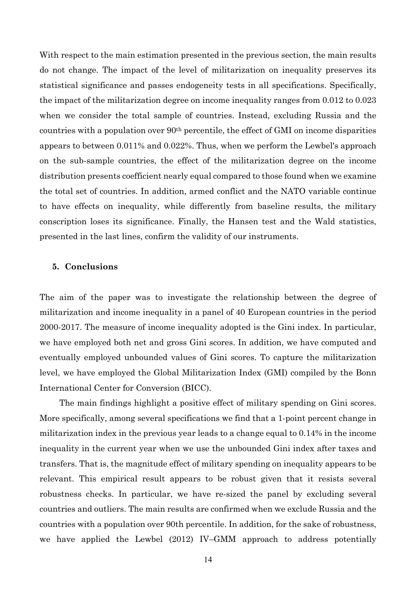With respect to the main estimation presented in the previous section, the main results do not change. The impact of the level of militarization on inequality preserves its statistical significance and passes endogeneity tests in all specifications. Specifically, the impact of the militarization degree on income inequality ranges from 0.012 to 0.023 when we consider the total sample of countries. Instead, excluding Russia and the countries with a population over 90th percentile, the effect of GMI on income disparities appears to between 0.011% and 0.022%. Thus, when we perform the Lewbel's approach on the sub-sample countries, the effect of the militarization degree on the income distribution presents coefficient nearly equal compared to those found when we examine the total set of countries. In addition, armed conflict and the NATO variable continue to have effects on inequality, while differently from baseline results, the military conscription loses its significance. Finally, the Hansen test and the Wald statistics, presented in the last lines, confirm the validity of our instruments.

#### **5. Conclusions**

The aim of the paper was to investigate the relationship between the degree of militarization and income inequality in a panel of 40 European countries in the period 2000-2017. The measure of income inequality adopted is the Gini index. In particular, we have employed both net and gross Gini scores. In addition, we have computed and eventually employed unbounded values of Gini scores. To capture the militarization level, we have employed the Global Militarization Index (GMI) compiled by the Bonn International Center for Conversion (BICC).

The main findings highlight a positive effect of military spending on Gini scores. More specifically, among several specifications we find that a 1-point percent change in militarization index in the previous year leads to a change equal to 0.14% in the income inequality in the current year when we use the unbounded Gini index after taxes and transfers. That is, the magnitude effect of military spending on inequality appears to be relevant. This empirical result appears to be robust given that it resists several robustness checks. In particular, we have re-sized the panel by excluding several countries and outliers. The main results are confirmed when we exclude Russia and the countries with a population over 90th percentile. In addition, for the sake of robustness, we have applied the Lewbel (2012) IV–GMM approach to address potentially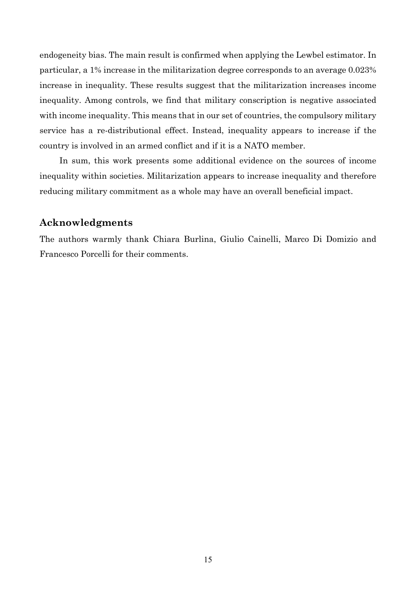endogeneity bias. The main result is confirmed when applying the Lewbel estimator. In particular, a 1% increase in the militarization degree corresponds to an average 0.023% increase in inequality. These results suggest that the militarization increases income inequality. Among controls, we find that military conscription is negative associated with income inequality. This means that in our set of countries, the compulsory military service has a re-distributional effect. Instead, inequality appears to increase if the country is involved in an armed conflict and if it is a NATO member.

In sum, this work presents some additional evidence on the sources of income inequality within societies. Militarization appears to increase inequality and therefore reducing military commitment as a whole may have an overall beneficial impact.

#### **Acknowledgments**

The authors warmly thank Chiara Burlina, Giulio Cainelli, Marco Di Domizio and Francesco Porcelli for their comments.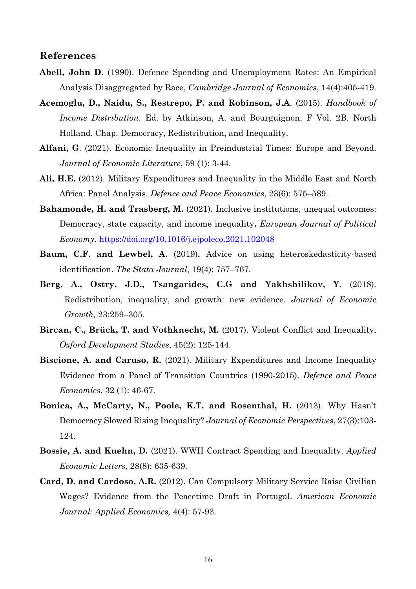### **References**

- **Abell, John D.** (1990). Defence Spending and Unemployment Rates: An Empirical Analysis Disaggregated by Race, *Cambridge Journal of Economics*, 14(4):405-419.
- **Acemoglu, D., Naidu, S., Restrepo, P. and Robinson, J.A**. (2015). *Handbook of Income Distribution*. Ed. by Atkinson, A. and Bourguignon, F Vol. 2B. North Holland. Chap. Democracy, Redistribution, and Inequality.
- **Alfani, G**. (2021). Economic Inequality in Preindustrial Times: Europe and Beyond. *Journal of Economic Literature*, 59 (1): 3-44.
- **Ali, H.E.** (2012). Military Expenditures and Inequality in the Middle East and North Africa: Panel Analysis. *Defence and Peace Economics*, 23(6): 575–589.
- **Bahamonde, H. and Trasberg, M.** (2021). Inclusive institutions, unequal outcomes: Democracy, state capacity, and income inequality**.** *European Journal of Political Economy.* https://doi.org/10.1016/j.ejpoleco.2021.102048
- **Baum, C.F. and Lewbel, A.** (2019)**.** Advice on using heteroskedasticity-based identification. *The Stata Journal*, 19(4): 757–767.
- **Berg, A., Ostry, J.D., Tsangarides, C.G and Yakhshilikov, Y**. (2018). Redistribution, inequality, and growth: new evidence. *Journal of Economic Growth,* 23:259–305.
- **Bircan, C., Brück, T. and Vothknecht, M.** (2017). Violent Conflict and Inequality, *Oxford Development Studies*, 45(2): 125-144.
- **Biscione, A. and Caruso, R.** (2021). Military Expenditures and Income Inequality Evidence from a Panel of Transition Countries (1990-2015). *Defence and Peace Economics*, 32 (1): 46-67.
- **Bonica, A., McCarty, N., Poole, K.T. and Rosenthal, H.** (2013). Why Hasn't Democracy Slowed Rising Inequality? *Journal of Economic Perspectives*, 27(3):103- 124.
- **Bossie, A. and Kuehn, D.** (2021). WWII Contract Spending and Inequality. *Applied Economic Letters*, 28(8): 635-639.
- **Card, D. and Cardoso, A.R.** (2012). Can Compulsory Military Service Raise Civilian Wages? Evidence from the Peacetime Draft in Portugal. *American Economic Journal: Applied Economics,* 4(4): 57-93.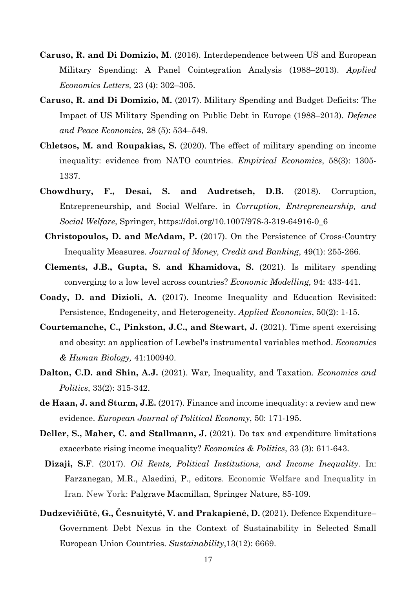- **Caruso, R. and Di Domizio, M**. (2016). Interdependence between US and European Military Spending: A Panel Cointegration Analysis (1988–2013). *Applied Economics Letters,* 23 (4): 302–305.
- **Caruso, R. and Di Domizio, M.** (2017). Military Spending and Budget Deficits: The Impact of US Military Spending on Public Debt in Europe (1988–2013). *Defence and Peace Economics,* 28 (5): 534–549.
- **Chletsos, M. and Roupakias, S.** (2020). The effect of military spending on income inequality: evidence from NATO countries. *Empirical Economics*, 58(3): 1305- 1337.
- **Chowdhury, F., Desai, S. and Audretsch, D.B.** (2018). Corruption, Entrepreneurship, and Social Welfare. in *Corruption, Entrepreneurship, and Social Welfare*, Springer, https://doi.org/10.1007/978-3-319-64916-0\_6
	- **Christopoulos, D. and McAdam, P.** (2017). On the Persistence of Cross-Country Inequality Measures*. Journal of Money, Credit and Banking*, 49(1): 255-266.
- **Clements, J.B., Gupta, S. and Khamidova, S.** (2021). Is military spending converging to a low level across countries? *Economic Modelling,* 94: 433-441.
- **Coady, D. and Dizioli, A.** (2017). Income Inequality and Education Revisited: Persistence, Endogeneity, and Heterogeneity. *Applied Economics*, 50(2): 1-15.
- **Courtemanche, C., Pinkston, J.C., and Stewart, J. (2021).** Time spent exercising and obesity: an application of Lewbel's instrumental variables method. *Economics & Human Biology,* 41:100940.
- **Dalton, C.D. and Shin, A.J.** (2021). War, Inequality, and Taxation. *Economics and Politics*, 33(2): 315-342.
- **de Haan, J. and Sturm, J.E.** (2017). Finance and income inequality: a review and new evidence. *European Journal of Political Economy*, 50: 171-195.
- **Deller, S., Maher, C. and Stallmann, J.** (2021). Do tax and expenditure limitations exacerbate rising income inequality? *Economics & Politics*, 33 (3): 611-643.
- **Dizaji, S.F**. (2017). *Oil Rents, Political Institutions, and Income Inequality*. In: Farzanegan, M.R., Alaedini, P., editors. Economic Welfare and Inequality in Iran. New York: Palgrave Macmillan, Springer Nature, 85-109.
- **Dudzevičiūtė, G., Česnuitytė, V. and Prakapienė, D.** (2021). Defence Expenditure– Government Debt Nexus in the Context of Sustainability in Selected Small European Union Countries. *Sustainability*,13(12): 6669.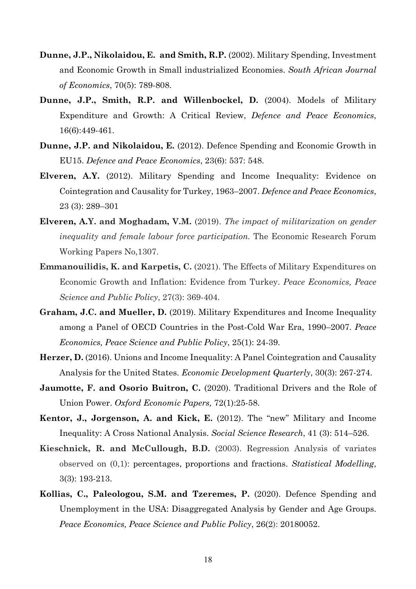- **Dunne, J.P., Nikolaidou, E. and Smith, R.P.** (2002). Military Spending, Investment and Economic Growth in Small industrialized Economies. *South African Journal of Economics*, 70(5): 789-808.
- **Dunne, J.P., Smith, R.P. and Willenbockel, D.** (2004). Models of Military Expenditure and Growth: A Critical Review, *Defence and Peace Economics*, 16(6):449-461.
- **Dunne, J.P. and Nikolaidou, E.** (2012). Defence Spending and Economic Growth in EU15. *Defence and Peace Economics*, 23(6): 537: 548.
- **Elveren, A.Y.** (2012). Military Spending and Income Inequality: Evidence on Cointegration and Causality for Turkey, 1963–2007. *Defence and Peace Economics*, 23 (3): 289–301
- **Elveren, A.Y. and Moghadam, V.M.** (2019). *The impact of militarization on gender inequality and female labour force participation.* The Economic Research Forum Working Papers No,1307.
- **Emmanouilidis, K. and Karpetis, C.** (2021). The Effects of Military Expenditures on Economic Growth and Inflation: Evidence from Turkey. *Peace Economics, Peace Science and Public Policy*, 27(3): 369-404.
- **Graham, J.C. and Mueller, D.** (2019). Military Expenditures and Income Inequality among a Panel of OECD Countries in the Post-Cold War Era, 1990–2007. *Peace Economics, Peace Science and Public Policy*, 25(1): 24-39.
- **Herzer, D.** (2016). Unions and Income Inequality: A Panel Cointegration and Causality Analysis for the United States. *Economic Development Quarterly*, 30(3): 267-274.
- **Jaumotte, F. and Osorio Buitron, C.** (2020). Traditional Drivers and the Role of Union Power. *Oxford Economic Papers,* 72(1):25-58.
- **Kentor, J., Jorgenson, A. and Kick, E.** (2012). The "new" Military and Income Inequality: A Cross National Analysis. *Social Science Research*, 41 (3): 514–526.
- **Kieschnick, R. and McCullough, B.D.** (2003). Regression Analysis of variates observed on (0,1): percentages, proportions and fractions. *Statistical Modelling*, 3(3): 193-213.
- **Kollias, C., Paleologou, S.M. and Tzeremes, P.** (2020). Defence Spending and Unemployment in the USA: Disaggregated Analysis by Gender and Age Groups. *Peace Economics, Peace Science and Public Policy*, 26(2): 20180052.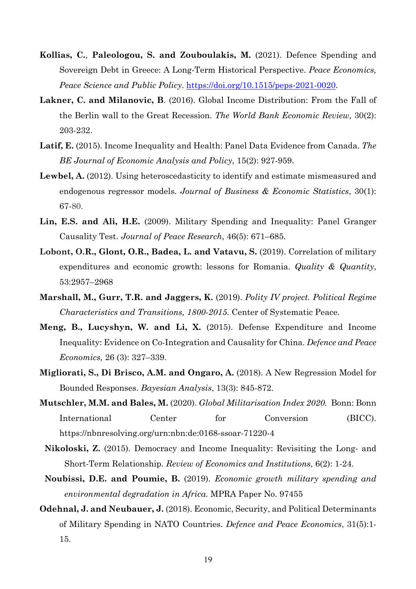- **Kollias, C.**, **Paleologou, S. and Zouboulakis, M.** (2021). Defence Spending and Sovereign Debt in Greece: A Long-Term Historical Perspective. *Peace Economics, Peace Science and Public Policy*. https://doi.org/10.1515/peps-2021-0020.
- **Lakner, C. and Milanovic, B**. (2016). Global Income Distribution: From the Fall of the Berlin wall to the Great Recession. *The World Bank Economic Review,* 30(2): 203-232.
- **Latif, E.** (2015). Income Inequality and Health: Panel Data Evidence from Canada. *The BE Journal of Economic Analysis and Policy*, 15(2): 927-959.
- **Lewbel, A.** (2012). Using heteroscedasticity to identify and estimate mismeasured and endogenous regressor models. *Journal of Business & Economic Statistics*, 30(1): 67-80.
- **Lin, E.S. and Ali, H.E.** (2009). Military Spending and Inequality: Panel Granger Causality Test. *Journal of Peace Research,* 46(5): 671–685.
- **Lobont, O.R., Glont, O.R., Badea, L. and Vatavu, S.** (2019). Correlation of military expenditures and economic growth: lessons for Romania. *Quality & Quantity*, 53:2957–2968
- **Marshall, M., Gurr, T.R. and Jaggers, K.** (2019). *Polity IV project. Political Regime Characteristics and Transitions, 1800-2015.* Center of Systematic Peace.
- **Meng, B., Lucyshyn, W. and Li, X.** (2015). Defense Expenditure and Income Inequality: Evidence on Co-Integration and Causality for China. *Defence and Peace Economics,* 26 (3): 327–339.
- **Migliorati, S., Di Brisco, A.M. and Ongaro, A.** (2018). A New Regression Model for Bounded Responses. *Bayesian Analysis*, 13(3): 845-872.
- **Mutschler, M.M. and Bales, M.** (2020). *Global Militarisation Index 2020.* Bonn: Bonn International Center for Conversion (BICC). https://nbnresolving.org/urn:nbn:de:0168-ssoar-71220-4
- **Nikoloski, Z.** (2015). Democracy and Income Inequality: Revisiting the Long- and Short-Term Relationship. *Review of Economics and Institutions*, 6(2): 1-24.
- **Noubissi, D.E. and Poumie, B.** (2019). *Economic growth military spending and environmental degradation in Africa.* MPRA Paper No. 97455
- **Odehnal, J. and Neubauer, J.** (2018). Economic, Security, and Political Determinants of Military Spending in NATO Countries. *Defence and Peace Economics*, 31(5):1- 15.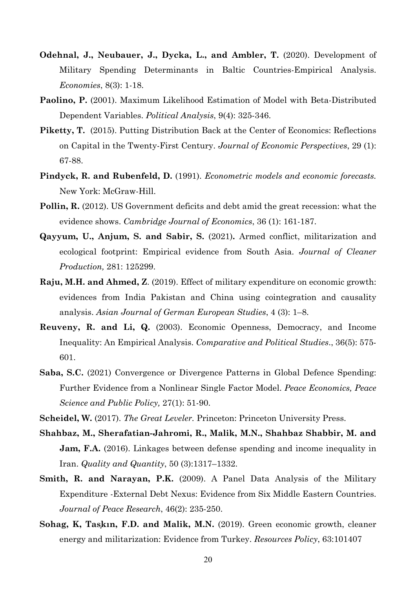- **Odehnal, J., Neubauer, J., Dycka, L., and Ambler, T.** (2020). Development of Military Spending Determinants in Baltic Countries-Empirical Analysis. *Economies*, 8(3): 1-18.
- **Paolino, P.** (2001). Maximum Likelihood Estimation of Model with Beta-Distributed Dependent Variables. *Political Analysis*, 9(4): 325-346.
- **Piketty, T.** (2015). Putting Distribution Back at the Center of Economics: Reflections on Capital in the Twenty-First Century. *Journal of Economic Perspectives*, 29 (1): 67-88.
- **Pindyck, R. and Rubenfeld, D.** (1991). *Econometric models and economic forecasts.* New York: McGraw-Hill.
- **Pollin, R.** (2012). US Government deficits and debt amid the great recession: what the evidence shows. *Cambridge Journal of Economics*, 36 (1): 161-187.
- **Qayyum, U., Anjum, S. and Sabir, S.** (2021)**.** Armed conflict, militarization and ecological footprint: Empirical evidence from South Asia. *Journal of Cleaner Production,* 281: 125299.
- **Raju, M.H. and Ahmed, Z**. (2019). Effect of military expenditure on economic growth: evidences from India Pakistan and China using cointegration and causality analysis. *Asian Journal of German European Studies*, 4 (3): 1–8.
- **Reuveny, R. and Li, Q.** (2003). Economic Openness, Democracy, and Income Inequality: An Empirical Analysis. *Comparative and Political Studies*., 36(5): 575- 601.
- **Saba, S.C.** (2021) Convergence or Divergence Patterns in Global Defence Spending: Further Evidence from a Nonlinear Single Factor Model. *Peace Economics, Peace Science and Public Policy,* 27(1): 51-90.
- **Scheidel, W.** (2017). *The Great Leveler.* Princeton: Princeton University Press.
- **Shahbaz, M., Sherafatian-Jahromi, R., Malik, M.N., Shahbaz Shabbir, M. and Jam, F.A.** (2016). Linkages between defense spending and income inequality in Iran. *Quality and Quantity*, 50 (3):1317–1332.
- **Smith, R. and Narayan, P.K.** (2009). A Panel Data Analysis of the Military Expenditure -External Debt Nexus: Evidence from Six Middle Eastern Countries. *Journal of Peace Research*, 46(2): 235-250.
- **Sohag, K, Taşkın, F.D. and Malik, M.N.** (2019). Green economic growth, cleaner energy and militarization: Evidence from Turkey. *Resources Policy*, 63:101407